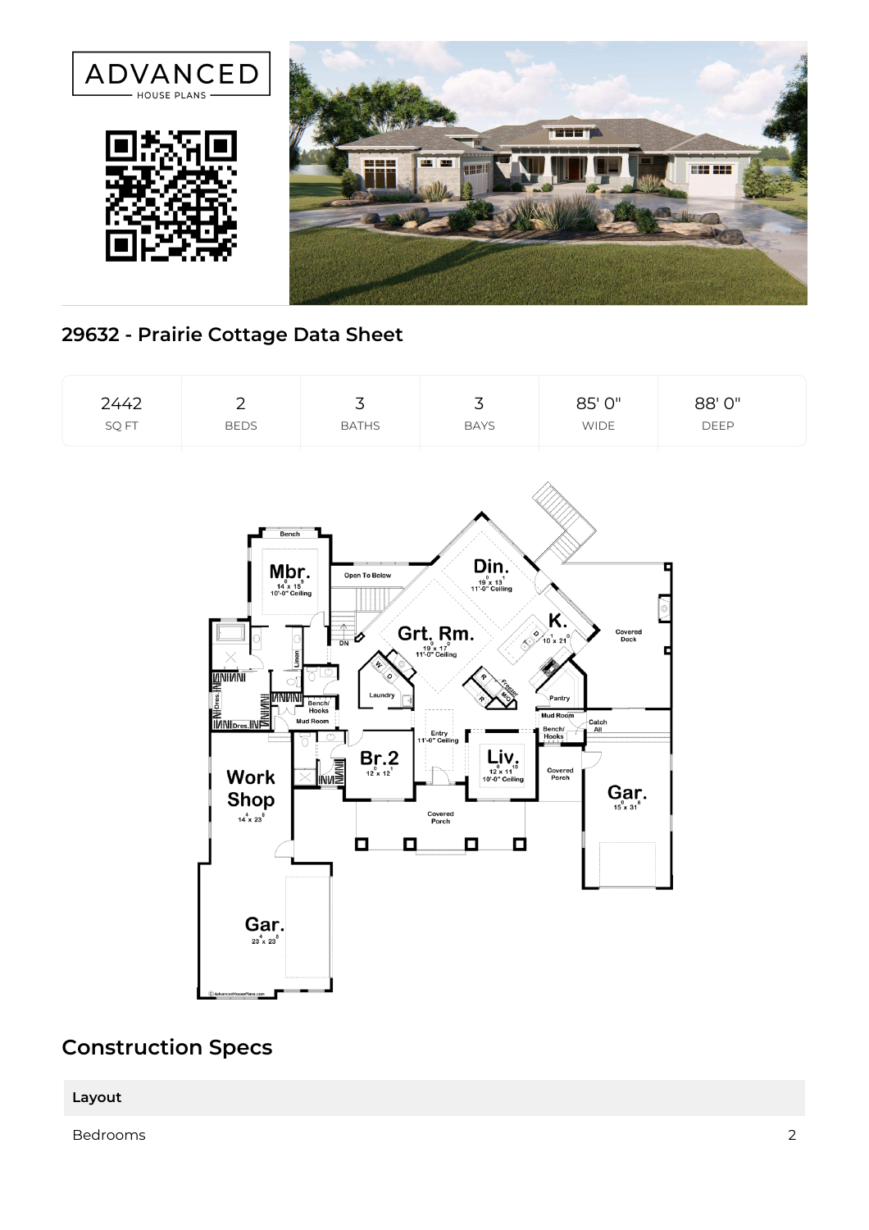

## **29632 - Prairie Cottage Data Sheet**



## **Construction Specs**

**Layout**

Bedrooms 2